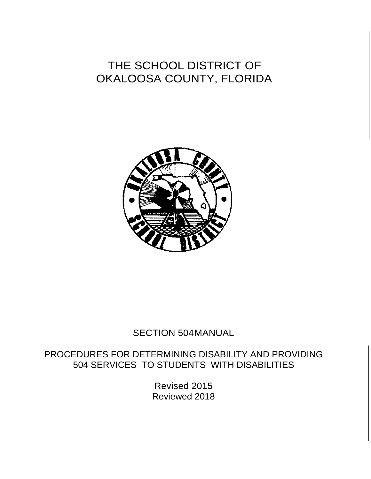# THE SCHOOL DISTRICT OF OKALOOSA COUNTY, FLORIDA



## SECTION 504MANUAL

PROCEDURES FOR DETERMINING DISABILITY AND PROVIDING 504 SERVICES TO STUDENTS WITH DISABILITIES

> Revised 2015 Reviewed 2018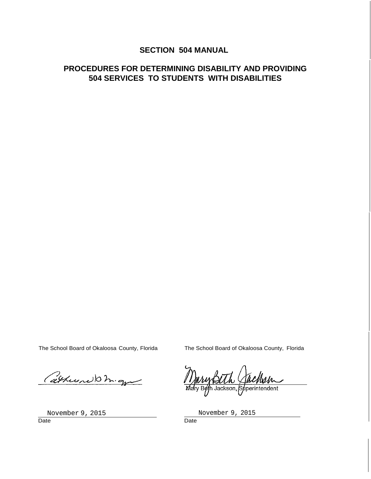## **SECTION 504 MANUAL**

## **PROCEDURES FOR DETERMINING DISABILITY AND PROVIDING 504 SERVICES TO STUDENTS WITH DISABILITIES**

The School Board of Okaloosa County, Florida The School Board of Okaloosa County, Florida

Cathura Dm.gn

h Jackson, Superintendent

November 9, 2015<br>
Date **November 9, 2015**<br>
Date **Date** Date **Date Date Date Date Date Date**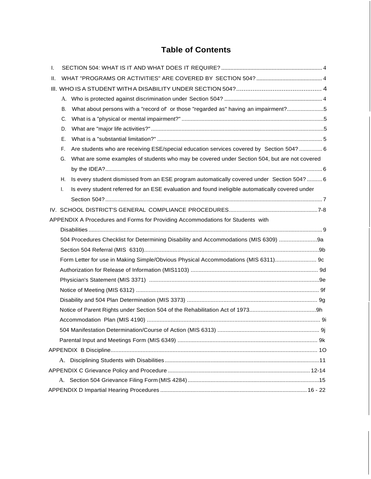## **Table of Contents**

| I. |    |                                                                                                  |  |
|----|----|--------------------------------------------------------------------------------------------------|--|
| Ш. |    |                                                                                                  |  |
|    |    |                                                                                                  |  |
|    |    |                                                                                                  |  |
|    | В. | What about persons with a "record of' or those "regarded as" having an impairment?5              |  |
|    | C. |                                                                                                  |  |
|    | D. |                                                                                                  |  |
|    | Ε. |                                                                                                  |  |
|    | F. | Are students who are receiving ESE/special education services covered by Section 504?  6         |  |
|    | G. | What are some examples of students who may be covered under Section 504, but are not covered     |  |
|    |    |                                                                                                  |  |
|    | Н. | Is every student dismissed from an ESE program automatically covered under Section 504?  6       |  |
|    | Τ. | Is every student referred for an ESE evaluation and found ineligible automatically covered under |  |
|    |    |                                                                                                  |  |
|    |    |                                                                                                  |  |
|    |    | APPENDIX A Procedures and Forms for Providing Accommodations for Students with                   |  |
|    |    |                                                                                                  |  |
|    |    | 504 Procedures Checklist for Determining Disability and Accommodations (MIS 6309) 9a             |  |
|    |    |                                                                                                  |  |
|    |    | Form Letter for use in Making Simple/Obvious Physical Accommodations (MIS 6311) 9c               |  |
|    |    |                                                                                                  |  |
|    |    |                                                                                                  |  |
|    |    |                                                                                                  |  |
|    |    |                                                                                                  |  |
|    |    |                                                                                                  |  |
|    |    |                                                                                                  |  |
|    |    |                                                                                                  |  |
|    |    |                                                                                                  |  |
|    |    |                                                                                                  |  |
|    |    |                                                                                                  |  |
|    |    |                                                                                                  |  |
|    |    |                                                                                                  |  |
|    |    |                                                                                                  |  |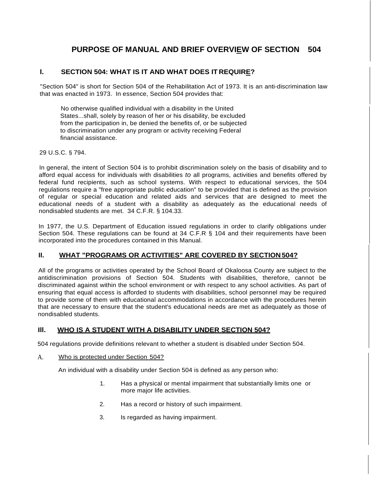## **PURPOSE OF MANUAL AND BRIEF OVERVIEW OF SECTION 504**

#### **I. SECTION 504: WHAT IS IT AND WHAT DOES IT REQUIRE?**

"Section 504" is short for Section 504 of the Rehabilitation Act of 1973. It is an anti-discrimination law that was enacted in 1973. In essence, Section 504 provides that:

No otherwise qualified individual with a disability in the United States...shall, solely by reason of her or his disability, be excluded from the participation in, be denied the benefits of, or be subjected to discrimination under any program or activity receiving Federal financial assistance.

#### 29 U.S.C. § 794.

In general, the intent of Section 504 is to prohibit discrimination solely on the basis of disability and to afford equal access for individuals with disabilities *to* all programs, activities and benefits offered by federal fund recipients, such as school systems. With respect to educational services, the 504 regulations require a "free appropriate public education" to be provided that is defined as the provision of regular or special education and related aids and services that are designed to meet the educational needs of a student with a disability as adequately as the educational needs of nondisabled students are met. 34 C.F.R. § 104.33.

In 1977, the U.S. Department of Education issued regulations in order to clarify obligations under Section 504. These regulations can be found at 34 C.F.R § 104 and their requirements have been incorporated into the procedures contained in this Manual.

#### **II. WHAT "PROGRAMS OR ACTIVITIES" ARE COVERED BY SECTION 504?**

All of the programs or activities operated by the School Board of Okaloosa County are subject to the antidiscrimination provisions of Section 504. Students with disabilities, therefore, cannot be discriminated against within the school environment or with respect to any school activities. As part of ensuring that equal access is afforded to students with disabilities, school personnel may be required to provide some of them with educational accommodations in accordance with the procedures herein that are necessary to ensure that the student's educational needs are met as adequately as those of nondisabled students.

#### **Ill. WHO IS A STUDENT WITH A DISABILITY UNDER SECTION 504?**

504 regulations provide definitions relevant to whether a student is disabled under Section 504.

#### A. Who is protected under Section 504?

An individual with a disability under Section 504 is defined as any person who:

- 1. Has a physical or mental impairment that substantially limits one or more major life activities.
- 2. Has a record or history of such impairment.
- 3. Is regarded as having impairment.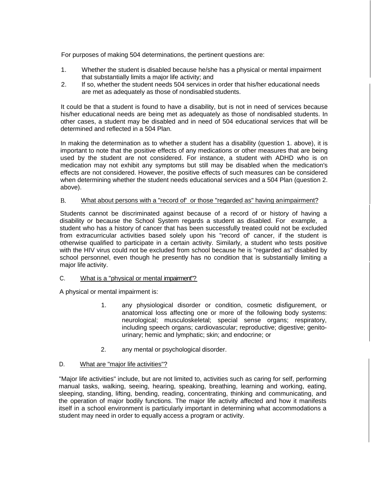For purposes of making 504 determinations, the pertinent questions are:

- 1. Whether the student is disabled because he/she has a physical or mental impairment that substantially limits a major life activity; and
- 2. If so, whether the student needs 504 services in order that his/her educational needs are met as adequately as those of nondisabled students.

It could be that a student is found to have a disability, but is not in need of services because his/her educational needs are being met as adequately as those of nondisabled students. In other cases, a student may be disabled and in need of 504 educational services that will be determined and reflected in a 504 Plan.

In making the determination as to whether a student has a disability (question 1. above), it is important to note that the positive effects of any medications or other measures that are being used by the student are not considered. For instance, a student with ADHD who is on medication may not exhibit any symptoms but still may be disabled when the medication's effects are not considered. However, the positive effects of such measures can be considered when determining whether the student needs educational services and a 504 Plan (question 2. above).

#### B. What about persons with a "record of' or those "regarded as" having animpairment?

Students cannot be discriminated against because of a record of or history of having a disability or because the School System regards a student as disabled. For example, a student who has a history of cancer that has been successfully treated could not be excluded from extracurricular activities based solely upon his "record of' cancer, if the student is otherwise qualified to participate in a certain activity. Similarly, a student who tests positive with the HIV virus could not be excluded from school because he is "regarded as" disabled by school personnel, even though he presently has no condition that is substantially limiting a major life activity.

#### C. What is a "physical or mental impairment"?

A physical or mental impairment is:

- 1. any physiological disorder or condition, cosmetic disfigurement, or anatomical loss affecting one or more of the following body systems: neurological; musculoskeletal; special sense organs; respiratory, including speech organs; cardiovascular; reproductive; digestive; genitourinary; hemic and lymphatic; skin; and endocrine; or
- 2. any mental or psychological disorder.

#### D. What are "major life activities"?

"Major life activities" include, but are not limited to, activities such as caring for self, performing manual tasks, walking, seeing, hearing, speaking, breathing, learning and working, eating, sleeping, standing, lifting, bending, reading, concentrating, thinking and communicating, and the operation of major bodily functions. The major life activity affected and how it manifests itself in a school environment is particularly important in determining what accommodations a student may need in order to equally access a program or activity.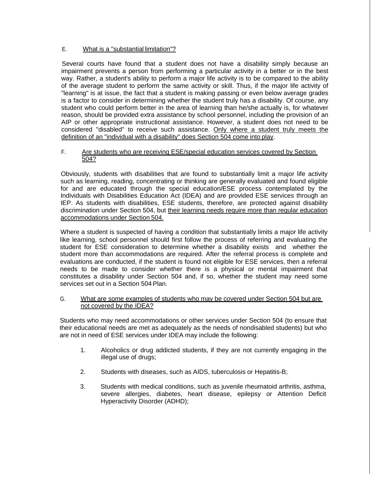#### E. What is a "substantial limitation"?

Several courts have found that a student does not have a disability simply because an impairment prevents a person from performing a particular activity in a better or in the best way. Rather, a student's ability to perform a major life activity is to be compared to the ability of the average student to perform the same activity or skill. Thus, if the major life activity of "learning" is at issue, the fact that a student is making passing or even below average grades is a factor to consider in determining whether the student truly has a disability. Of course, any student who could perform better in the area of learning than he/she actually is, for whatever reason, should be provided extra assistance by school personnel, including the provision of an AIP or other appropriate instructional assistance. However, a student does not need to be considered "disabled" to receive such assistance. Only where a student truly meets the definition of an "individual with a disability" does Section 504 come into play.

#### F. Are students who are receiving ESE/special education services covered by Section 504?

Obviously, students with disabilities that are found to substantially limit a major life activity such as learning, reading, concentrating or thinking are generally evaluated and found eligible for and are educated through the special education/ESE process contemplated by the Individuals with Disabilities Education Act (IDEA) and are provided ESE services through an IEP. As students with disabilities, ESE students, therefore, are protected against disability discrimination under Section 504, but their learning needs require more than regular education accommodations under Section 504.

Where a student is suspected of having a condition that substantially limits a major life activity like learning, school personnel should first follow the process of referring and evaluating the student for ESE consideration to determine whether a disability exists and whether the student more than accommodations are required. After the referral process is complete and evaluations are conducted, if the student is found not eligible for ESE services, then a referral needs to be made to consider whether there is a physical or mental impairment that constitutes a disability under Section 504 and, if so, whether the student may need some services set out in a Section 504 Plan.

#### G. What are some examples of students who may be covered under Section 504 but are not covered by the IDEA?

Students who may need accommodations or other services under Section 504 (to ensure that their educational needs are met as adequately as the needs of nondisabled students) but who are not in need of ESE services under IDEA may include the following:

- 1. Alcoholics or drug addicted students, if they are not currently engaging in the illegal use of drugs;
- 2. Students with diseases, such as AIDS, tuberculosis or Hepatitis-B;
- 3. Students with medical conditions, such as juvenile rheumatoid arthritis, asthma, severe allergies, diabetes, heart disease, epilepsy or Attention Deficit Hyperactivity Disorder (ADHD);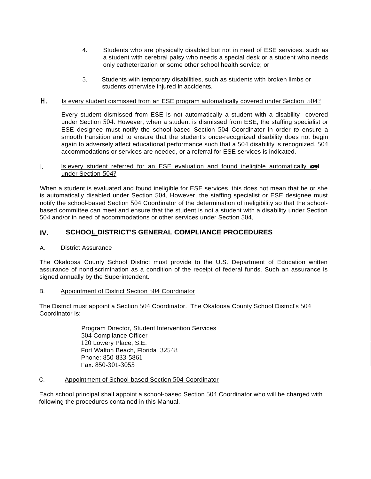- 4. Students who are physically disabled but not in need of ESE services, such as a student with cerebral palsy who needs a special desk or a student who needs only catheterization or some other school health service; or
- 5. Students with temporary disabilities, such as students with broken limbs or students otherwise injured in accidents.

#### H. Is every student dismissed from an ESE program automatically covered under Section 504?

Every student dismissed from ESE is not automatically a student with a disability covered under Section 504. However, when a student is dismissed from ESE, the staffing specialist or ESE designee must notify the school-based Section 504 Coordinator in order *to* ensure a smooth transition and to ensure that the student's once-recognized disability does not begin again to adversely affect educational performance such that a 504 disability is recognized, 504 accommodations or services are needed, or a referral for ESE services is indicated.

#### I. Is every student referred for an ESE evaluation and found ineligible automatically condition under Section 504?

When a student is evaluated and found ineligible for ESE services, this does not mean that he or she is automatically disabled under Section 504. However, the staffing specialist or ESE designee must notify the school-based Section 504 Coordinator of the determination of ineligibility so that the schoolbased committee can meet and ensure that the student is not a student with a disability under Section 504 and/or in need of accommodations or other services under Section 504.

#### **IV. SCHOOL DISTRICT'S GENERAL COMPLIANCE PROCEDURES**

#### A. District Assurance

The Okaloosa County School District must provide to the U.S. Department of Education written assurance of nondiscrimination as a condition of the receipt of federal funds. Such an assurance is signed annually by the Superintendent.

#### B. Appointment of District Section 504 Coordinator

The District must appoint a Section 504 Coordinator. The Okaloosa County School District's 504 Coordinator is:

> Program Director, Student Intervention Services 504 Compliance Officer 120 Lowery Place, S.E. Fort Walton Beach, Florida 32548 Phone: 850-833-5861 Fax: 850-301-3055

#### C. Appointment of School-based Section 504 Coordinator

Each school principal shall appoint a school-based Section 504 Coordinator who will be charged with following the procedures contained in this Manual.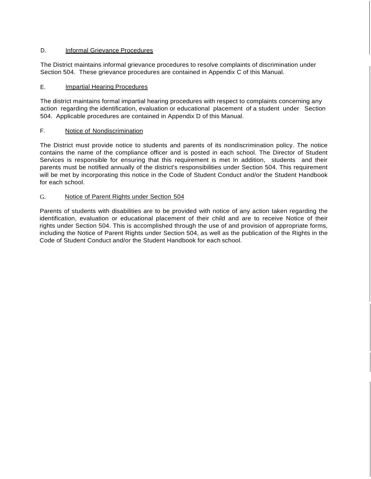#### D. **Informal Grievance Procedures**

The District maintains informal grievance procedures to resolve complaints of discrimination under Section 504. These grievance procedures are contained in Appendix C of this Manual.

#### E. Impartial Hearing Procedures

The district maintains formal impartial hearing procedures with respect to complaints concerning any action regarding the identification, evaluation or educational placement of a student under Section 504. Applicable procedures are contained in Appendix D of this Manual.

#### F. Notice of Nondiscrimination

The District must provide notice to students and parents of its nondiscrimination policy. The notice contains the name of the compliance officer and is posted in each school. The Director of Student Services is responsible for ensuring that this requirement is met In addition, students and their parents must be notified annually of the district's responsibilities under Section 504. This requirement will be met by incorporating this notice in the Code of Student Conduct and/or the Student Handbook for each school.

#### G. Notice of Parent Rights under Section 504

Parents of students with disabilities are to be provided with notice of any action taken regarding the identification, evaluation or educational placement of their child and are to receive Notice of their rights under Section 504. This is accomplished through the use of and provision of appropriate forms, including the Notice of Parent Rights under Section 504, as well as the publication of the Rights in the Code of Student Conduct and/or the Student Handbook for each school.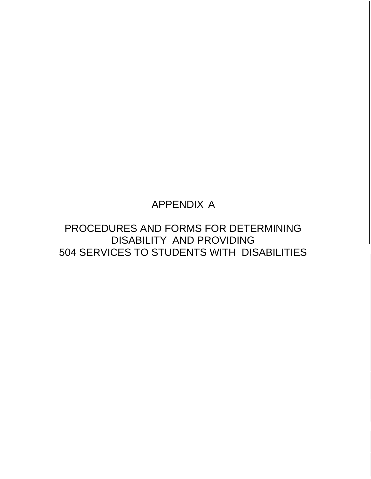## APPENDIX A

PROCEDURES AND FORMS FOR DETERMINING DISABILITY AND PROVIDING 504 SERVICES TO STUDENTS WITH DISABILITIES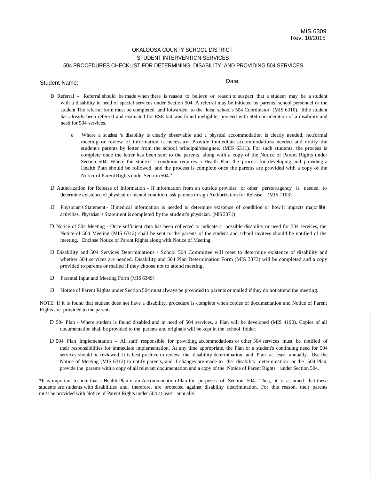#### OKALOOSA COUNTY SCHOOL DISTRICT STUDENT INTERVENTION SERVICES 504 PROCEDURES CHECKLIST FOR DETERMINING DISABILITY AND PROVIDING 504 SERVICES

Student Name: — — — — — — — — — — — — — — — — — — Date:

- D Referral Referral should be made when there is reason to believe or reason to suspect that a student may be a student with a disability in need of special services under Section 504. A referral may be initiated by parents, school personnel or the student The referral form must be completed and foiwarded to the local school's 504 Coordinator (MIS 6310). lfthe student has already been referred and evaluated for ESE but was found ineligible, proceed with 504 consideration of a disability and need for 504 services.
	- o Where a st udent <sup>1</sup> s disability is clearly observable and a physical accommodation is clearly needed, no.formal meeting or review of information is necessary. Provide immediate accommodations needed and notify the student's parents by letter from the school principal/designee. (MIS 6311). For such students, the process is complete once the letter has been sent to the parents, along with a copy of the Notice of Parent Rights under Section 504. Where the stude nt 's condition requires a Health Plan, the process for developing and providing a Health Plan should be followed, and the process is complete once the parents are provided with a copy of the Notice of Parent Rights under Section 504.\*
- D Authorization for Release of Information If information from an outside provider or other person/agency is needed to determine existence of physical or mental condition, ask parents to sign Authorization for Release. (MIS 1103)
- D Physician's Statement If medical information is needed to determine existence of condition or how it impacts majorlife activities, Physician 's Statement is completed by the student's physician. (MIS 3371)
- D Notice of 504 Meeting Once sufficient data has been collected to indicate a possible disability or need for 504 services, the Notice of 504 Meeting (MIS 6312) shall be sent to the parents of the student and school invitees should be notified of the meeting. Enclose Notice of Parent Rights along with Notice of Meeting.
- D Disability and 504 Services Determinations School 504 Committee will meet to determine existence of disability and whether 504 services are needed. Disability and 504 Plan Determination Form (MIS 3373) will be completed and a copy provided to parents or mailed if they choose not to attend meeting.
- D Parental Input and Meeting Form (MIS 6349)
- D Notice of Parent Rights under Section 504 must always be provided to parents or mailed ifthey do not attend the meeting.

NOTE: If it is found that student does not have a disability, procedure is complete when copies of documentation and Notice of Parent Rights are provided to the parents.

- D 504 Plan Where student is found disabled and in need of 504 services, a Plan will be developed (MIS 4190). Copies of all documentation shall be provided to the parents and originals will be kept in the school folder.
- D 504 Plan Implementation All staff responsible for providing accommodations or other 504 services must be notified of their responsibilities for immediate implementation. At any time appropriate, the Plan or a student's continuing need for 504 services should be reviewed. It is best practice to review the disability determination and Plan at least annually. Use the Notice of Meeting (MIS 6312) to notify parents, and if changes are made to the disability determination or the 504 Plan, provide the parents with a copy of all relevant documentation and a copy of the Notice of Parent Rights under Section 504.

\*It is important to note that a Health Plan is an Accommodation Plan for purposes of Section 504. Thus, it is assumed that these students are students with disabilities and, therefore, are protected against disability discrimination. For this reason, their parents must be provided with Notice of Parent Rights under 504 at least annually.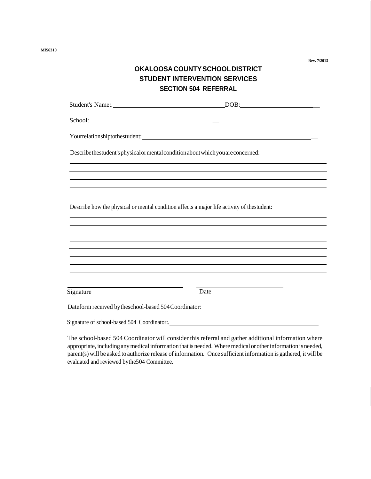**MlS6310**

## **OKALOOSACOUNTYSCHOOLDISTRICT STUDENT INTERVENTION SERVICES SECTION 504 REFERRAL**

| Student's Name:.                                                                            | $DOB: \begin{tabular}{ c c c } \hline \multicolumn{3}{ c }{\textbf{DOB}}: & \multicolumn{3}{ c }{\textbf{O}}: & \multicolumn{3}{ c }{\textbf{OOB}}: \\ \hline \multicolumn{3}{ c }{\textbf{DOB}}: & \multicolumn{3}{ c }{\textbf{O}}: & \multicolumn{3}{ c }{\textbf{O}}: & \multicolumn{3}{ c }{\textbf{OOB}}: & \multicolumn{3}{ c }{\textbf{OOB}}: & \multicolumn{3}{ c }{\textbf{OOB}}: & \multicolumn{3}{ c }{\textbf{OOB}}: &$ |
|---------------------------------------------------------------------------------------------|--------------------------------------------------------------------------------------------------------------------------------------------------------------------------------------------------------------------------------------------------------------------------------------------------------------------------------------------------------------------------------------------------------------------------------------|
| School:                                                                                     |                                                                                                                                                                                                                                                                                                                                                                                                                                      |
| Yourrelationshiptothestudent:                                                               |                                                                                                                                                                                                                                                                                                                                                                                                                                      |
| Describethestudent's physical or mental condition about which you are concerned:            |                                                                                                                                                                                                                                                                                                                                                                                                                                      |
|                                                                                             |                                                                                                                                                                                                                                                                                                                                                                                                                                      |
|                                                                                             |                                                                                                                                                                                                                                                                                                                                                                                                                                      |
| Describe how the physical or mental condition affects a major life activity of the student: |                                                                                                                                                                                                                                                                                                                                                                                                                                      |
|                                                                                             |                                                                                                                                                                                                                                                                                                                                                                                                                                      |
|                                                                                             |                                                                                                                                                                                                                                                                                                                                                                                                                                      |
|                                                                                             |                                                                                                                                                                                                                                                                                                                                                                                                                                      |
|                                                                                             |                                                                                                                                                                                                                                                                                                                                                                                                                                      |
|                                                                                             |                                                                                                                                                                                                                                                                                                                                                                                                                                      |
|                                                                                             |                                                                                                                                                                                                                                                                                                                                                                                                                                      |
| Signature                                                                                   | Date                                                                                                                                                                                                                                                                                                                                                                                                                                 |
| Dateform received by these hool-based 504 Coordinator:                                      |                                                                                                                                                                                                                                                                                                                                                                                                                                      |
|                                                                                             |                                                                                                                                                                                                                                                                                                                                                                                                                                      |

The school-based 504 Coordinator will consider this referral and gather additional information where appropriate, including any medical information that is needed. Where medical or other information is needed, parent(s) will be asked to authorize release of information. Once sufficient information is gathered, it will be evaluated and reviewed bythe504 Committee.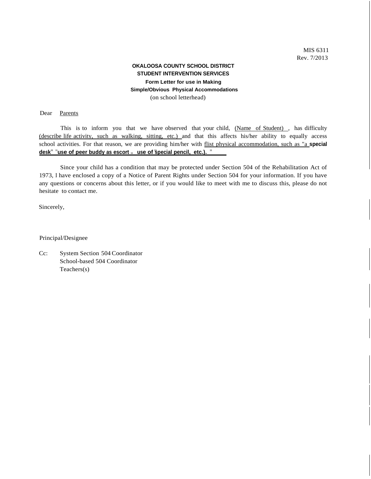#### **OKALOOSA COUNTY SCHOOL DISTRICT STUDENT INTERVENTION SERVICES Form Letter for use in Making Simple/Obvious Physical Accommodations** (on school letterhead)

#### Dear Parents

**11 11 desk11 11use of peer buddy as escort <sup>11</sup>use of special pencil, etc.).** This is to inform you that we have observed that your child, (Name of Student), has difficulty (describe life activity, such as walking, sitting, etc.) and that this affects his/her ability to equally access school activities. For that reason, we are providing him/her with flist physical accommodation, such as "a **special**

Since your child has a condition that may be protected under Section 504 of the Rehabilitation Act of 1973, I have enclosed a copy of a Notice of Parent Rights under Section 504 for your information. If you have any questions or concerns about this letter, or if you would like to meet with me to discuss this, please do not hesitate to contact me.

Sincerely,

Principal/Designee

Cc: System Section 504 Coordinator School-based 504 Coordinator Teachers(s)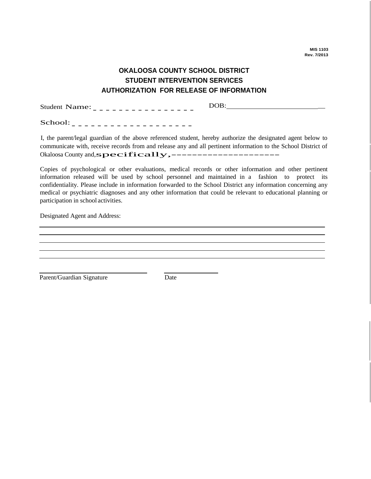**MIS 1103 Rev. 7/2013**

## **OKALOOSA COUNTY SCHOOL DISTRICT STUDENT INTERVENTION SERVICES AUTHORIZATION FOR RELEASE OF INFORMATION**

Student Name:---------------- DOB: \_

School:-------------------

I, the parent/legal guardian of the above referenced student, hereby authorize the designated agent below to communicate with, receive records from and release any and all pertinent information to the School District of Okaloosa County and,specifically,---------------------

Copies of psychological or other evaluations, medical records or other information and other pertinent information released will be used by school personnel and maintained in a fashion to protect its confidentiality. Please include in information forwarded to the School District any information concerning any medical or psychiatric diagnoses and any other information that could be relevant to educational planning or participation in school activities.

Designated Agent and Address:

Parent/Guardian Signature Date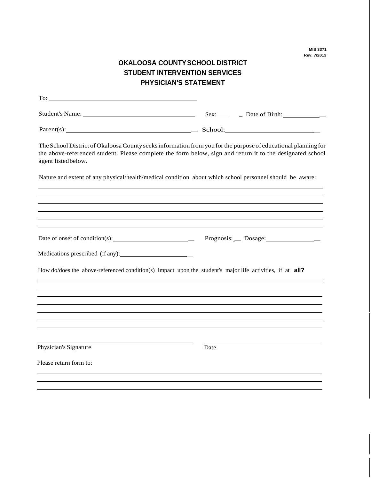**MIS 3371 Rev. 7/2013**

## **OKALOOSA COUNTYSCHOOL DISTRICT STUDENT INTERVENTION SERVICES PHYSICIAN'S STATEMENT**

| $Parent(s):$ School: School:                                                                                                                                                                                                                      |      |                         |
|---------------------------------------------------------------------------------------------------------------------------------------------------------------------------------------------------------------------------------------------------|------|-------------------------|
| The School District of Okaloosa County seeks information from you for the purpose of educational planning for<br>the above-referenced student. Please complete the form below, sign and return it to the designated school<br>agent listed below. |      |                         |
| Nature and extent of any physical/health/medical condition about which school personnel should be aware:                                                                                                                                          |      |                         |
|                                                                                                                                                                                                                                                   |      |                         |
|                                                                                                                                                                                                                                                   |      |                         |
|                                                                                                                                                                                                                                                   |      | Prognosis: Dosage: 2000 |
|                                                                                                                                                                                                                                                   |      |                         |
| How do/does the above-referenced condition(s) impact upon the student's major life activities, if at <b>all?</b>                                                                                                                                  |      |                         |
|                                                                                                                                                                                                                                                   |      |                         |
|                                                                                                                                                                                                                                                   |      |                         |
|                                                                                                                                                                                                                                                   |      |                         |
| Physician's Signature                                                                                                                                                                                                                             | Date |                         |
| Please return form to:                                                                                                                                                                                                                            |      |                         |
|                                                                                                                                                                                                                                                   |      |                         |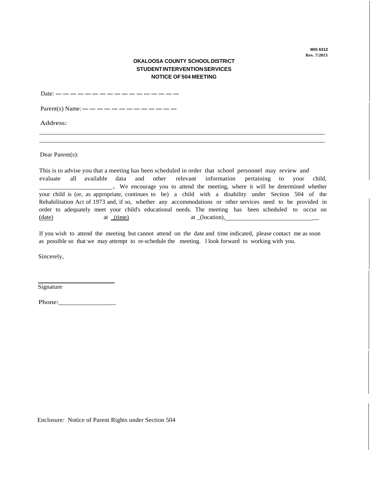**MIS 6312 Rev. 7/2013**

#### **OKALOOSA COUNTY SCHOOLDISTRICT STUDENTINTERVENTIONSERVICES NOTICE OF504 MEETING**

Date:  $- - - - - - - - - - - - - - - - -$ 

Parent(s) Name:-------------

Address:

Dear Parent(s):

This is to advise you that a meeting has been scheduled in order that school personnel may review and evaluate all available data and other relevant information pertaining to your child, . We encourage you to attend the meeting, where it will be determined whether your child is (or, as appropriate, continues to be) a child with a disability under Section 504 of the Rehabilitation Act of 1973 and, if so, whether any accommodations or other services need to be provided in order to adequately meet your child's educational needs. The meeting has been scheduled to occur on (date) at \_(time) at \_(location), \_

If you wish to attend the meeting but cannot attend on the date and time indicated, please contact me as soon as possible so that we may attempt to re-schedule the meeting. I look forward to working with you.

Sincerely,

Signature

Phone: \_

Enclosure: Notice of Parent Rights under Section 504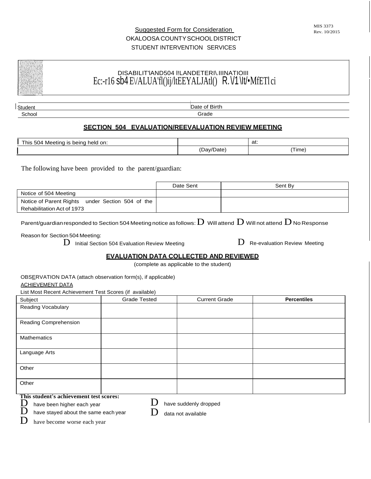## Suggested Form for Consideration OKALOOSA COUNTYSCHOOLDISTRICT STUDENT INTERVENTION SERVICES

I Student School Date of Birth Grade

### **SECTION 504 EVALUATION/REEVALUATION REVIEW MEETING**

| l his<br>held<br>Meetina<br>on:<br>504<br>being<br>2ו<br>w |   | at:                                     |
|------------------------------------------------------------|---|-----------------------------------------|
|                                                            | . | $\overline{\phantom{a}}$<br>Time<br>___ |

The following have been provided to the parent/guardian:

|                                                  | Date Sent | Sent By |
|--------------------------------------------------|-----------|---------|
| Notice of 504 Meeting                            |           |         |
| Notice of Parent Rights under Section 504 of the |           |         |
| Rehabilitation Act of 1973                       |           |         |

Parent/guardian responded to Section 504 Meeting notice as follows:  ${\rm D}$  Will attend  ${\rm D}$  Will not attend  ${\rm D}$  No Response

Reason for Section 504 Meeting:

 $\mathbf D$  Initial Section 504 Evaluation Review Meeting  $\mathbf D$  Re-evaluation Review Meeting

#### **EVALUATION DATA COLLECTED AND REVIEWED**

(complete as applicable to the student)

#### ACHIEVEMENT DATA

List Most Recent Achievement Test Scores (if available)

| Subject               | $\sim$<br>$\overline{\phantom{a}}$<br><b>Grade Tested</b> | <b>Current Grade</b> | <b>Percentiles</b> |
|-----------------------|-----------------------------------------------------------|----------------------|--------------------|
| Reading Vocabulary    |                                                           |                      |                    |
| Reading Comprehension |                                                           |                      |                    |
| Mathematics           |                                                           |                      |                    |
| Language Arts         |                                                           |                      |                    |
| Other                 |                                                           |                      |                    |
| Other                 |                                                           |                      |                    |

**This student's achievement test scores:**

 $\sum$  have been higher each year<br> $\sum$  have staved about the same

have suddenly dropped

have stayed about the same each year

 $\mathbf D$  data not available

 $\mathbf{D}$  have become worse each year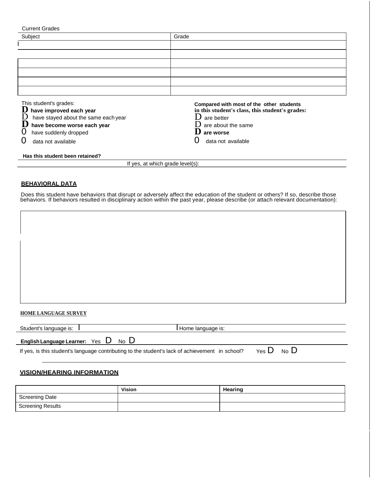| <b>Current Grades</b>                                                                                                                                                                  |                                                                                                                                                                           |  |  |  |
|----------------------------------------------------------------------------------------------------------------------------------------------------------------------------------------|---------------------------------------------------------------------------------------------------------------------------------------------------------------------------|--|--|--|
| Subject                                                                                                                                                                                | Grade                                                                                                                                                                     |  |  |  |
|                                                                                                                                                                                        |                                                                                                                                                                           |  |  |  |
|                                                                                                                                                                                        |                                                                                                                                                                           |  |  |  |
|                                                                                                                                                                                        |                                                                                                                                                                           |  |  |  |
|                                                                                                                                                                                        |                                                                                                                                                                           |  |  |  |
|                                                                                                                                                                                        |                                                                                                                                                                           |  |  |  |
|                                                                                                                                                                                        |                                                                                                                                                                           |  |  |  |
| This student's grades:<br>D<br>have improved each year<br>D<br>have stayed about the same each year<br>have become worse each year<br>0<br>have suddenly dropped<br>data not available | Compared with most of the other students<br>in this student's class, this student's grades:<br>ו ו<br>are better<br>are about the same<br>are worse<br>data not available |  |  |  |
| Has this student been retained?                                                                                                                                                        |                                                                                                                                                                           |  |  |  |
| If yes, at which grade level(s):                                                                                                                                                       |                                                                                                                                                                           |  |  |  |

#### **BEHAVIORAL DATA**

Does this student have behaviors that disrupt or adversely affect the education of the student or others? If so, describe those behaviors. If behaviors resulted in disciplinary action within the past year, please describe (or attach relevant documentation):

#### **HOME LANGUAGE SURVEY**

| Student's language is:                  | Home language is: |
|-----------------------------------------|-------------------|
| <b>English Language Learner:</b><br>Yes | No                |

|  |  | If yes, is this student's language contributing to the student's lack of achievement in school? |  | Yes $D$ No $D$ |  |  |
|--|--|-------------------------------------------------------------------------------------------------|--|----------------|--|--|
|--|--|-------------------------------------------------------------------------------------------------|--|----------------|--|--|

#### **VISION/HEARING INFORMATION**

|                          | <b>Vision</b> | Hearing |
|--------------------------|---------------|---------|
| <b>Screening Date</b>    |               |         |
| <b>Screening Results</b> |               |         |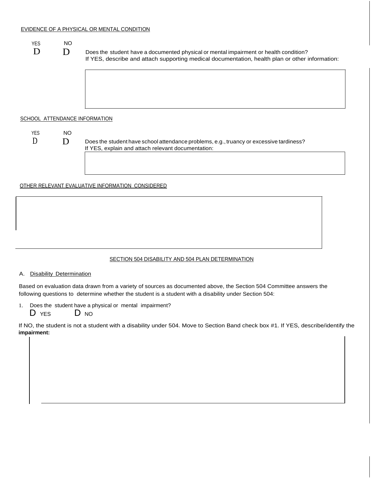| <b>YES</b><br>D | <b>NO</b><br>D                | Does the student have a documented physical or mental impairment or health condition?<br>If YES, describe and attach supporting medical documentation, health plan or other information: |
|-----------------|-------------------------------|------------------------------------------------------------------------------------------------------------------------------------------------------------------------------------------|
|                 |                               |                                                                                                                                                                                          |
|                 | SCHOOL ATTENDANCE INFORMATION |                                                                                                                                                                                          |
| <b>YES</b>      | NO.                           |                                                                                                                                                                                          |
| D               | Ð                             | Does the student have school attendance problems, e.g., truancy or excessive tardiness?<br>If YES, explain and attach relevant documentation:                                            |
|                 |                               |                                                                                                                                                                                          |
|                 |                               | <u>OTHER RELEVANT EVALUATIVE INFORMATION CONSIDERED</u>                                                                                                                                  |
|                 |                               |                                                                                                                                                                                          |
|                 |                               |                                                                                                                                                                                          |

#### SECTION 504 DISABILITY AND 504 PLAN DETERMINATION

#### A. Disability Determination

Based on evaluation data drawn from a variety of sources as documented above, the Section 504 Committee answers the following questions to determine whether the student is a student with a disability under Section 504:

- 1. Does the student have a physical or mental impairment?
	- D YES D NO

If NO, the student is not a student with a disability under 504. Move to Section Band check box #1. If YES, describe/identify the **impairment:**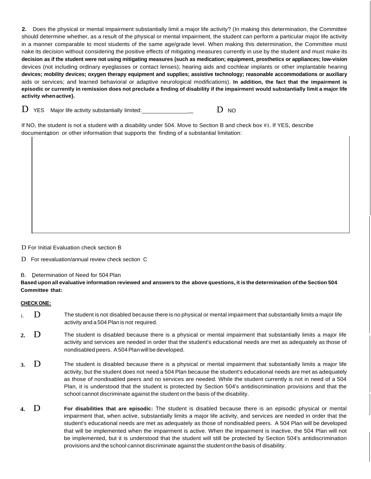**2.** Does the physical or mental impairment substantially limit a major life activity? (In making this determination, the Committee should determine whether, as a result of the physical or mental impairment, the student can perform a particular major life activity in a manner comparable to most students of the same age/grade level. When making this determination, the Committee must nake its decision without considering the positive effects of mitigating measures currently in use by the student and must make its decision as if the student were not using mitigating measures (such as medication; equipment, prosthetics or appliances; low-vision devices (not including ordinary eyeglasses or contact lenses); hearing aids and cochlear implants or other implantable hearing **devices; mobility devices; oxygen therapy equipment and supplies; assistive technology; reasonable accommodations or auxiliary**  aids or services; and learned behavioral or adaptive neurological modifications). **In addition, the fact that the impairment is**  episodic or currently in remission does not preclude a finding of disability if the impairment would substantially limit a major life **activity whenactive}.**

 $D$  YES Major life activity substantially limited:  $D$  NO

If NO, the student is not a student with a disability under 504. Move to Section B and check box #1. If YES, describe documentation or other information that supports the finding of a substantial limitation:

D For Initial Evaluation check section B

D For reevaluation/annual review check section C

B. Determination of Need for 504 Plan

Based upon all evaluative information reviewed and answers to the above questions, it is the determination of the Section 504 **Committee that:**

#### **CHECKONE:**

- i. D The student is not disabled because there is no physical or mental impairment that substantially limits a major life activity and a 504 Plan is not required.
- **2.** D The student is disabled because there is a physical or mental impairment that substantially limits a major life activity and services are needed in order that the student's educational needs are met as adequately as those of nondisabled peers. A504Planwill be developed.
- **3.** D The student is disabled because there is a physical or mental impairment that substantially limits a major life activity, but the student does not need a 504 Plan because the student's educational needs are met as adequately as those of nondisabled peers and no services are needed. While the student currently is not in need of a 504 Plan, it is understood that the student is protected by Section 504's antidiscrimination provisions and that the school cannot discriminate against the student on the basis of the disability.
- **4.** D **For disabilities that are episodic:** The student is disabled because there is an episodic physical or mental impairment that, when active, substantially limits a major life activity, and services are needed in order that the student's educational needs are met as adequately as those of nondisabled peers. A 504 Plan will be developed that will be implemented when the impairment is active. When the impairment is inactive, the 504 Plan will not be implemented, but it is understood that the student will still be protected by Section 504's antidiscrimination provisions and the school cannot discriminate against the student on the basis of disability.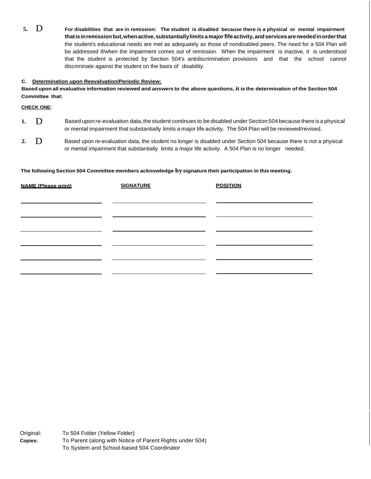**5.** D **For disabilities that are in remission: The student is disabled because there is a physical or mental impairment thatisinremissionbut,whenactive,substantiallylimitsamajorfifeactivity, andservicesareneededinorderthat**  the student's educational needs are met as adequately as those of nondisabled peers. The need for a 504 Plan will be addressed if/when the impairment comes out of remission. When the impairment is inactive, it is understood that the student is protected by Section 504's antidiscrimination provisions and that the school cannot discriminate against the student on the basis of disability.

#### **C. Determination upon Reevaluation/Periodic Review:**

Based upon all evaluative information reviewed and answers to the above questions, it is the determination of the Section 504 **Committee that:**

**CHECK ONE:**

- **1.** D Based upon re-evaluation data, the student continues to be disabled under Section 504 because there is a physical or mental impairment that substantially limits a major life activity. The 504 Plan will be reviewed/revised.
- **2.** D Based upon re-evaluation data, the student no longer is disabled under Section 504 because there is not a physical or mental impairment that substantially limits a major life activity. A 504 Plan is no longer needed.

#### **The following Section 504 Committee members acknowledge by signature their participation in this meeting.**

| <b>NAME (Please print)</b> | <b>SIGNATURE</b> | <b>POSITION</b> |  |
|----------------------------|------------------|-----------------|--|
|                            |                  |                 |  |
|                            |                  |                 |  |
|                            |                  |                 |  |
|                            |                  |                 |  |
|                            |                  |                 |  |
|                            |                  |                 |  |

Original: **Copies:** To 504 Folder (Yellow Folder) To Parent (along with Notice of Parent Rights under 504) To System and School-based 504 Coordinator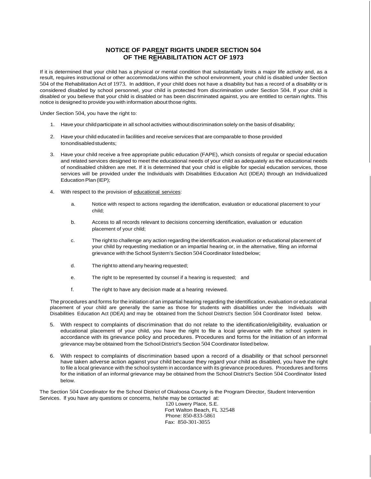#### **NOTICE OF PARENT RIGHTS UNDER SECTION 504 OF THE REHABILITATION ACT OF 1973**

If it is determined that your child has a physical or mental condition that substantially limits a major life activity and, as a result, requires instructional or other accommodaUons within the school environment, your child is disabled under Section 504 of the Rehabilitation Act of 1973. In addition, if your child does not have a disability but has a record of a disability or is considered disabled by school personnel, your child is protected from discrimination under Section 504. If your child is disabled or you believe that your child is disabled or has been discriminated against, you are entitled to certain rights. This notice is designed to provide you with information about those rights.

Under Section 504, you have the right to:

- 1. Have your childparticipate in all school activities without discrimination solely on the basis of disability;
- 2. Have your child educated in facilities and receive services that are comparable to those provided tonondisabledstudents;
- 3. Have your child receive a free appropriate public education (FAPE), which consists of regular or special education and related services designed to meet the educational needs of your child as adequately as the educational needs of nondisabled children are met. If it is determined that your child is eligible for special education services, those services will be provided under the Individuals with Disabilities Education Act (IDEA) through an Individualized Education Plan (IEP);
- 4. With respect to the provision of educational services:
	- a. Notice with respect to actions regarding the identification, evaluation or educational placement to your child;
	- b. Access to all records relevant to decisions concerning identification, evaluation or education placement of your child;
	- c. The right to challenge any action regarding the identification,evaluation or educational placement of your child by requesting mediation or an impartial hearing or, in the alternative, filing an informal grievance with the School System's Section 504 Coordinator listed below;
	- d. The right to attend any hearing requested;
	- e. The right to be represented by counsel if a hearing is requested; and
	- f. The right to have any decision made at a hearing reviewed.

The procedures and forms for the initiation of an impartial hearing regarding the identification, evaluation or educational placement of your child are generally the same as those for students with disabilities under the Individuals with Disabilities Education Act (IDEA) and may be obtained from the School District's Section 504 Coordinator listed below.

- 5. With respect to complaints of discrimination that do not relate to the identification/eligibility, evaluation or educational placement of your child, you have the right to file a local grievance with the school system in accordance with its grievance policy and procedures. Procedures and forms for the initiation of an informal grievance may be obtained from the School District's Section 504 Coordinator listed below.
- 6. With respect to complaints of discrimination based upon a record of a disability or that school personnel have taken adverse action against your child because they regard your child as disabled, you have the right to file a local grievance with the school system in accordance with its grievance procedures. Procedures and forms for the initiation of an informal grievance may be obtained from the School District's Section 504 Coordinator listed below.

The Section 504 Coordinator for the School District of Okaloosa County is the Program Director, Student Intervention Services. lf you have any questions or concerns, he/she may be contacted at:

120 Lowery Place, S.E. Fort Walton Beach, FL 32548 Phone: 850-833-5861 Fax: 850-301-3055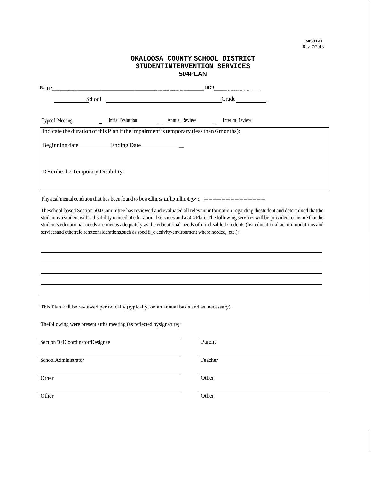| OKALOOSA COUNTY SCHOOL DISTRICT<br>STUDENTINTERVENTION SERVICES<br>504PLAN                                 |                                                                     |                      |                |  |
|------------------------------------------------------------------------------------------------------------|---------------------------------------------------------------------|----------------------|----------------|--|
| Name                                                                                                       | <u> 1989 - Andrea Stadt Brander, amerikansk politiker (d. 1989)</u> | DOB                  |                |  |
| Sdiool                                                                                                     |                                                                     |                      | Grade          |  |
| Typeof Meeting:<br>Indicate the duration of this Plan if the impairment is temporary (less than 6 months): | Initial Evaluation                                                  | <b>Annual Review</b> | Interim Review |  |
| Beginning date Ending Date                                                                                 |                                                                     |                      |                |  |
| Describe the Temporary Disability:                                                                         |                                                                     |                      |                |  |

Physical/mental condition that has been found to be  $\mathbf{adisability:}$  -------------

Theschool-based Section 504 Committee has reviewed and evaluated all relevant information regarding thestudent and determined thatthe student is a student with a disability in need of educational services and a 504 Plan. The following services will be provided to ensure that the student's educational needs are met as adequately as the educational needs of nondisabled students (list educational accommodations and servicesand otherreleircmtconsiderations, such as specifi\_c activity/environment where needed, etc.):

This Plan will be reviewed periodically (typically, on an annual basis and as necessary).

Thefollowing were present atthe meeting (as reflected bysignature):

Section 504Coordinator/Designee Parent

SchoolAdministrator Teacher

Other Other Changes of the Changes of the Changes of the Changes of the Changes of the Changes of the Changes of the Changes of the Changes of the Changes of the Changes of the Changes of the Changes of the Changes of the

Other Other Changes of the Other Changes of the Other Changes of the Other Changes of the Other Changes of the Other Changes of the Other Changes of the Other Changes of the Other Changes of the Other Changes of the Other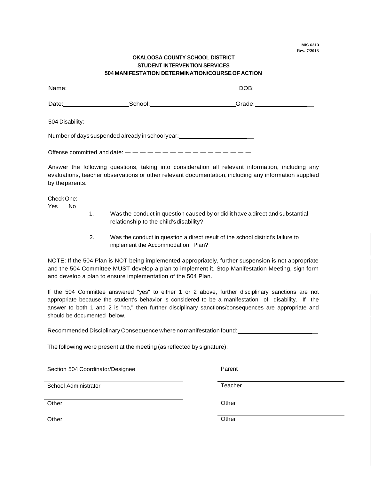#### **OKALOOSA COUNTY SCHOOL DISTRICT STUDENT INTERVENTION SERVICES 504 MANIFESTATION DETERMINATION/COURSEOF ACTION**

|                                                                                                                                                                                                                                                                                                                                                                                | Name: Name: Name: Name: Name: Name: Name: Name: Name: Name: Name: Name: Name: Name: Name: Name: Name: Name: Name: Name: Name: Name: Name: Name: Name: Name: Name: Name: Name: Name: Name: Name: Name: Name: Name: Name: Name: | DOB:______________________ |  |  |
|--------------------------------------------------------------------------------------------------------------------------------------------------------------------------------------------------------------------------------------------------------------------------------------------------------------------------------------------------------------------------------|-------------------------------------------------------------------------------------------------------------------------------------------------------------------------------------------------------------------------------|----------------------------|--|--|
|                                                                                                                                                                                                                                                                                                                                                                                | School:________________________                                                                                                                                                                                               | Grade: __________________  |  |  |
|                                                                                                                                                                                                                                                                                                                                                                                | 504 Disability: $- - - - - - - - - - - - - - - - - - - - - -$                                                                                                                                                                 |                            |  |  |
| Number of days suspended already in school year:________________________________                                                                                                                                                                                                                                                                                               |                                                                                                                                                                                                                               |                            |  |  |
| Offense committed and date: $-\frac{1}{2} - \frac{1}{2} - \frac{1}{2} - \frac{1}{2} - \frac{1}{2} - \frac{1}{2} - \frac{1}{2} - \frac{1}{2} - \frac{1}{2} - \frac{1}{2} - \frac{1}{2} - \frac{1}{2} - \frac{1}{2} - \frac{1}{2} - \frac{1}{2} - \frac{1}{2} - \frac{1}{2} - \frac{1}{2} - \frac{1}{2} - \frac{1}{2} - \frac{1}{2} - \frac{1}{2} - \frac{1}{2} - \frac{1}{2} -$ |                                                                                                                                                                                                                               |                            |  |  |

Answer the following questions, taking into consideration all relevant information, including any evaluations, teacher observations or other relevant documentation, including any information supplied by theparents.

CheckOne:

Yes No

- 1. Was the conduct in question caused by or did**it** have a direct and substantial relationship to the child's disability?
- 2. Was the conduct in question a direct result of the school district's failure to implement the Accommodation Plan?

NOTE: If the 504 Plan is NOT being implemented appropriately, further suspension is not appropriate and the 504 Committee MUST develop a plan to implement it. Stop Manifestation Meeting, sign form and develop a plan to ensure implementation of the 504 Plan.

If the 504 Committee answered "yes" to either 1 or 2 above, further disciplinary sanctions are not appropriate because the student's behavior is considered to be a manifestation of disability. If the answer to both 1 and 2 is "no," then further disciplinary sanctions/consequences are appropriate and should be documented below.

Recommended Disciplinary Consequence where nomanifestation found: \_

The following were present at the meeting (as reflected by signature):

Section 504 Coordinator/Designee **Parent** 

School Administrator Teacher

Other Communication of the Communication of the Communication of the Communication of the Communication of the Communication of the Communication of the Communication of the Communication of the Communication of the Commun

Other Communications of the Communication of the Communication of the Communication of the Communication of the Communication of the Communication of the Communication of the Communication of the Communication of the Commu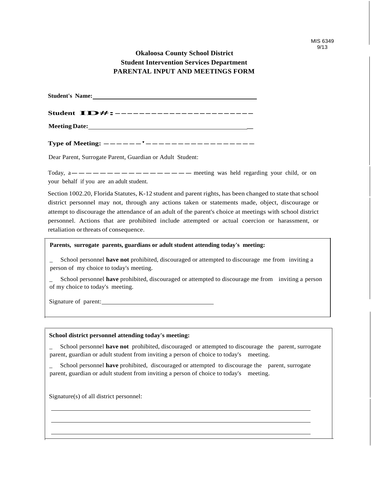### **Okaloosa County School District Student Intervention Services Department PARENTAL INPUT AND MEETINGS FORM**

| <b>Student's Name:</b> |                                        |
|------------------------|----------------------------------------|
|                        | Student <b>ID#:-------------------</b> |
|                        |                                        |

**Type of Meeting: -----'---------------**

Dear Parent, Surrogate Parent, Guardian or Adult Student:

Today, a-----------------meeting was held regarding your child, or on your behalf if you are an adult student.

Section 1002.20, Florida Statutes, K-12 student and parent rights, has been changed to state that school district personnel may not, through any actions taken or statements made, object, discourage or attempt to discourage the attendance of an adult of the parent's choice at meetings with school district personnel. Actions that are prohibited include attempted or actual coercion or harassment, or retaliation orthreats of consequence.

#### **Parents, surrogate parents, guardians or adult student attending today's meeting:**

\_ School personnel **have not** prohibited, discouraged or attempted to discourage me from inviting a person of my choice to today's meeting.

\_ School personnel **have** prohibited, discouraged or attempted to discourage me from inviting a person of my choice to today's meeting.

Signature of parent:

#### **School district personnel attending today's meeting:**

\_ School personnel **have not** prohibited, discouraged or attempted to discourage the parent, surrogate parent, guardian or adult student from inviting a person of choice to today's meeting.

\_ School personnel **have** prohibited, discouraged or attempted to discourage the parent, surrogate parent, guardian or adult student from inviting a person of choice to today's meeting.

Signature(s) of all district personnel: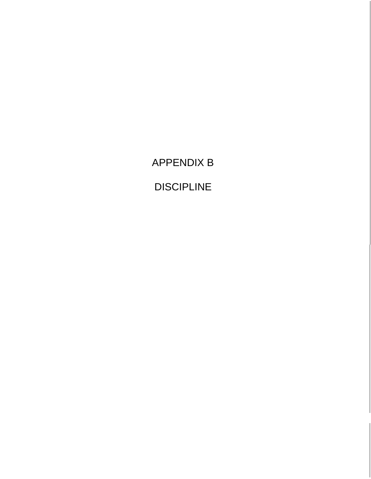APPENDIX B

DISCIPLINE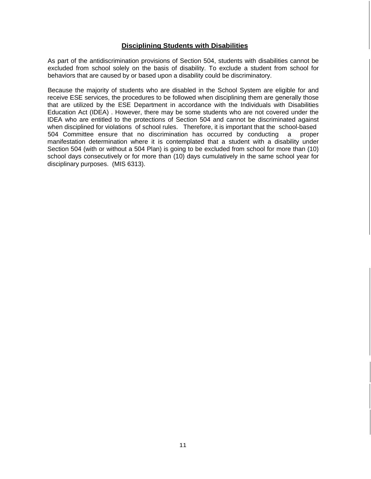#### **Disciplining Students with Disabilities**

As part of the antidiscrimination provisions of Section 504, students with disabilities cannot be excluded from school solely on the basis of disability. To exclude a student from school for behaviors that are caused by or based upon a disability could be discriminatory.

Because the majority of students who are disabled in the School System are eligible for and receive ESE services, the procedures to be followed when disciplining them are generally those that are utilized by the ESE Department in accordance with the Individuals with Disabilities Education Act (IDEA) . However, there may be some students who are not covered under the IDEA who are entitled to the protections of Section 504 and cannot be discriminated against when disciplined for violations of school rules. Therefore, it is important that the school-based 504 Committee ensure that no discrimination has occurred by conducting a proper manifestation determination where it is contemplated that a student with a disability under Section 504 (with or without a 504 Plan) is going to be excluded from school for more than (10) school days consecutively or for more than (10) days cumulatively in the same school year for disciplinary purposes. (MIS 6313).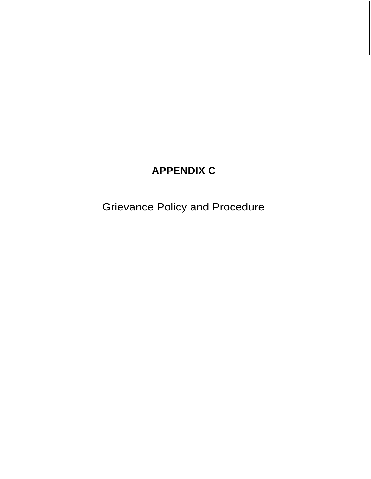## **APPENDIX C**

Grievance Policy and Procedure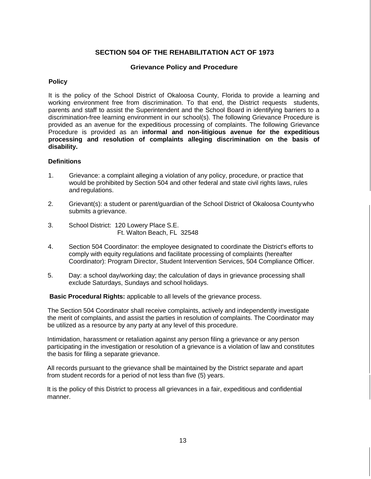#### **SECTION 504 OF THE REHABILITATION ACT OF 1973**

#### **Grievance Policy and Procedure**

#### **Policy**

It is the policy of the School District of Okaloosa County, Florida to provide a learning and working environment free from discrimination. To that end, the District requests students, parents and staff to assist the Superintendent and the School Board in identifying barriers to a discrimination-free learning environment in our school(s). The following Grievance Procedure is provided as an avenue for the expeditious processing of complaints. The following Grievance Procedure is provided as an **informal and non-litigious avenue for the expeditious processing and resolution of complaints alleging discrimination on the basis of disability.**

#### **Definitions**

- 1. Grievance: a complaint alleging a violation of any policy, procedure, or practice that would be prohibited by Section 504 and other federal and state civil rights laws, rules and regulations.
- 2. Grievant(s): a student or parent/guardian of the School District of Okaloosa Countywho submits a grievance.
- 3. School District: 120 Lowery Place S.E. Ft. Walton Beach, FL 32548
- 4. Section 504 Coordinator: the employee designated to coordinate the District's efforts to comply with equity regulations and facilitate processing of complaints (hereafter Coordinator): Program Director, Student Intervention Services, 504 Compliance Officer.
- 5. Day: a school day/working day; the calculation of days in grievance processing shall exclude Saturdays, Sundays and school holidays.

**Basic Procedural Rights:** applicable to all levels of the grievance process.

The Section 504 Coordinator shall receive complaints, actively and independently investigate the merit of complaints, and assist the parties in resolution of complaints. The Coordinator may be utilized as a resource by any party at any level of this procedure.

Intimidation, harassment or retaliation against any person filing a grievance or any person participating in the investigation or resolution of a grievance is a violation of law and constitutes the basis for filing a separate grievance.

All records pursuant to the grievance shall be maintained by the District separate and apart from student records for a period of not less than five (5) years.

It is the policy of this District to process all grievances in a fair, expeditious and confidential manner.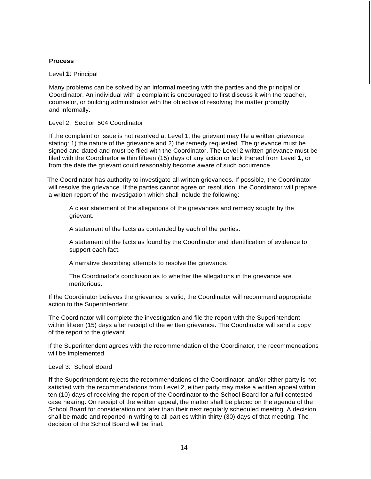#### **Process**

Level **1**: Principal

Many problems can be solved by an informal meeting with the parties and the principal or Coordinator. An individual with a complaint is encouraged to first discuss it with the teacher, counselor, or building administrator with the objective of resolving the matter promptly and informally.

#### Level 2: Section 504 Coordinator

If the complaint or issue is not resolved at Level 1, the grievant may file a written grievance stating: 1) the nature of the grievance and 2) the remedy requested. The grievance must be signed and dated and must be filed with the Coordinator. The Level 2 written grievance must be filed with the Coordinator within fifteen (15) days of any action or lack thereof from Level **1,** or from the date the grievant could reasonably become aware of such occurrence.

The Coordinator has authority to investigate all written grievances. If possible, the Coordinator will resolve the grievance. If the parties cannot agree on resolution, the Coordinator will prepare a written report of the investigation which shall include the following:

A clear statement of the allegations of the grievances and remedy sought by the grievant.

A statement of the facts as contended by each of the parties.

A statement of the facts as found by the Coordinator and identification of evidence to support each fact.

A narrative describing attempts to resolve the grievance.

The Coordinator's conclusion as to whether the allegations in the grievance are meritorious.

If the Coordinator believes the grievance is valid, the Coordinator will recommend appropriate action to the Superintendent.

The Coordinator will complete the investigation and file the report with the Superintendent within fifteen (15) days after receipt of the written grievance. The Coordinator will send a copy of the report to the grievant.

If the Superintendent agrees with the recommendation of the Coordinator, the recommendations will be implemented.

#### Level 3: School Board

**If** the Superintendent rejects the recommendations of the Coordinator, and/or either party is not satisfied with the recommendations from Level 2, either party may make a written appeal within ten (10) days of receiving the report of the Coordinator to the School Board for a full contested case hearing. On receipt of the written appeal, the matter shall be placed on the agenda of the School Board for consideration not later than their next regularly scheduled meeting. A decision shall be made and reported in writing to all parties within thirty (30) days of that meeting. The decision of the School Board will be final.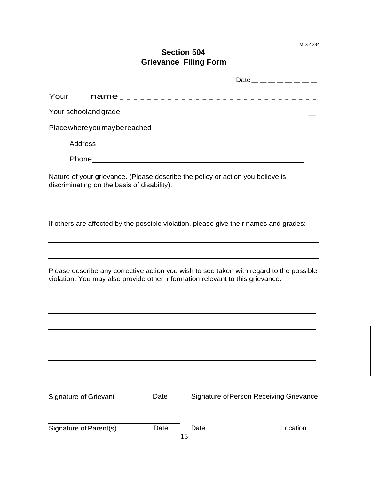MIS 4284

## **Section 504 Grievance Filing Form**

| Your                         |                                             |      |                                                                                | name_________________________________                                                   |
|------------------------------|---------------------------------------------|------|--------------------------------------------------------------------------------|-----------------------------------------------------------------------------------------|
|                              |                                             |      |                                                                                |                                                                                         |
|                              |                                             |      |                                                                                |                                                                                         |
|                              |                                             |      |                                                                                |                                                                                         |
|                              |                                             |      |                                                                                |                                                                                         |
|                              | discriminating on the basis of disability). |      | Nature of your grievance. (Please describe the policy or action you believe is |                                                                                         |
|                              |                                             |      |                                                                                | If others are affected by the possible violation, please give their names and grades:   |
|                              |                                             |      | violation. You may also provide other information relevant to this grievance.  | Please describe any corrective action you wish to see taken with regard to the possible |
|                              |                                             |      |                                                                                |                                                                                         |
| <b>Signature of Grievant</b> |                                             | Date |                                                                                | Signature of Person Receiving Grievance                                                 |
| Signature of Parent(s)       |                                             | Date | Date<br>15                                                                     | Location                                                                                |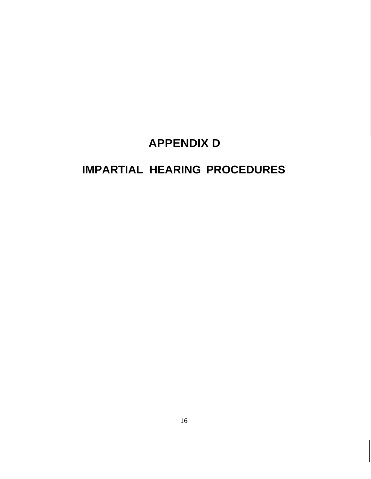# **APPENDIX D**

# **IMPARTIAL HEARING PROCEDURES**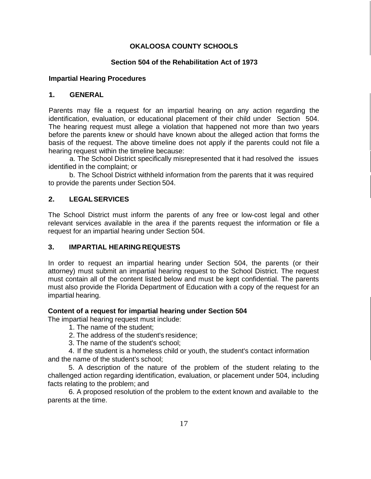### **OKALOOSA COUNTY SCHOOLS**

#### **Section 504 of the Rehabilitation Act of 1973**

#### **Impartial Hearing Procedures**

#### **1. GENERAL**

Parents may file a request for an impartial hearing on any action regarding the identification, evaluation, or educational placement of their child under Section 504. The hearing request must allege a violation that happened not more than two years before the parents knew or should have known about the alleged action that forms the basis of the request. The above timeline does not apply if the parents could not file a hearing request within the timeline because:

a. The School District specifically misrepresented that it had resolved the issues identified in the complaint; or

b. The School District withheld information from the parents that it was required to provide the parents under Section 504.

#### **2. LEGALSERVICES**

The School District must inform the parents of any free or low-cost legal and other relevant services available in the area if the parents request the information or file a request for an impartial hearing under Section 504.

#### **3. IMPARTIAL HEARINGREQUESTS**

In order to request an impartial hearing under Section 504, the parents (or their attorney) must submit an impartial hearing request to the School District. The request must contain all of the content listed below and must be kept confidential. The parents must also provide the Florida Department of Education with a copy of the request for an impartial hearing.

#### **Content of a request for impartial hearing under Section 504**

The impartial hearing request must include:

1. The name of the student;

- 2. The address of the student's residence;
- 3. The name of the student's school;

4. If the student is a homeless child or youth, the student's contact information and the name of the student's school;

5. A description of the nature of the problem of the student relating to the challenged action regarding identification, evaluation, or placement under 504, including facts relating to the problem; and

6. A proposed resolution of the problem to the extent known and available to the parents at the time.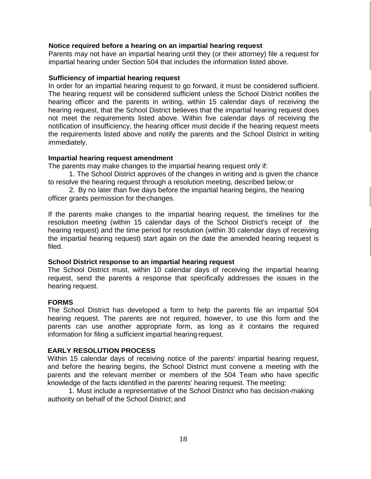#### **Notice required before a hearing on an impartial hearing request**

Parents may not have an impartial hearing until they (or their attorney) file a request for impartial hearing under Section 504 that includes the information listed above.

#### **Sufficiency of impartial hearing request**

In order for an impartial hearing request to go forward, it must be considered sufficient. The hearing request will be considered sufficient unless the School District notifies the hearing officer and the parents in writing, within 15 calendar days of receiving the hearing request, that the School District believes that the impartial hearing request does not meet the requirements listed above. Within five calendar days of receiving the notification of insufficiency, the hearing officer must decide if the hearing request meets the requirements listed above and notify the parents and the School District in writing immediately.

#### **Impartial hearing request amendment**

The parents may make changes to the impartial hearing request only if:

1. The School District approves of the changes in writing and is given the chance to resolve the hearing request through a resolution meeting, described below;or

2. By no later than five days before the impartial hearing begins, the hearing officer grants permission for thechanges.

If the parents make changes to the impartial hearing request, the timelines for the resolution meeting (within 15 calendar days of the School District's receipt of the hearing request) and the time period for resolution (within 30 calendar days of receiving the impartial hearing request) start again on the date the amended hearing request is filed.

#### **School District response to an impartial hearing request**

The School District must, within 10 calendar days of receiving the impartial hearing request, send the parents a response that specifically addresses the issues in the hearing request.

#### **FORMS**

The School District has developed a form to help the parents file an impartial 504 hearing request. The parents are not required, however, to use this form and the parents can use another appropriate form, as long as it contains the required information for filing a sufficient impartial hearing request.

#### **EARLY RESOLUTION PROCESS**

Within 15 calendar days of receiving notice of the parents' impartial hearing request, and before the hearing begins, the School District must convene a meeting with the parents and the relevant member or members of the 504 Team who have specific knowledge of the facts identified in the parents' hearing request. The meeting:

1. Must include a representative of the School District who has decision-making authority on behalf of the School District; and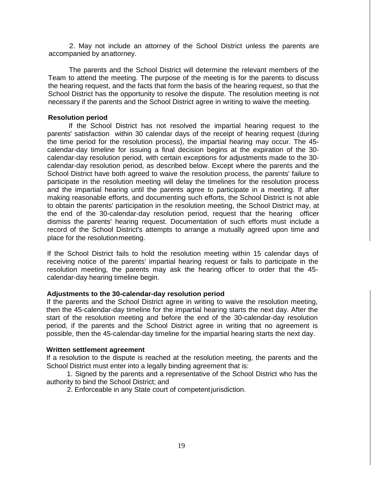2. May not include an attorney of the School District unless the parents are accompanied by anattorney.

The parents and the School District will determine the relevant members of the Team to attend the meeting. The purpose of the meeting is for the parents to discuss the hearing request, and the facts that form the basis of the hearing request, so that the School District has the opportunity to resolve the dispute. The resolution meeting is not necessary if the parents and the School District agree in writing to waive the meeting.

#### **Resolution period**

If the School District has not resolved the impartial hearing request to the parents' satisfaction within 30 calendar days of the receipt of hearing request (during the time period for the resolution process), the impartial hearing may occur. The 45 calendar-day timeline for issuing a final decision begins at the expiration of the 30 calendar-day resolution period, with certain exceptions for adjustments made to the 30 calendar-day resolution period, as described below. Except where the parents and the School District have both agreed to waive the resolution process, the parents' failure to participate in the resolution meeting will delay the timelines for the resolution process and the impartial hearing until the parents agree to participate in a meeting. If after making reasonable efforts, and documenting such efforts, the School District is not able to obtain the parents' participation in the resolution meeting, the School District may, at the end of the 30-calendar-day resolution period, request that the hearing officer dismiss the parents' hearing request. Documentation of such efforts must include a record of the School District's attempts to arrange a mutually agreed upon time and place for the resolutionmeeting.

If the School District fails to hold the resolution meeting within 15 calendar days of receiving notice of the parents' impartial hearing request or fails to participate in the resolution meeting, the parents may ask the hearing officer to order that the 45 calendar-day hearing timeline begin.

#### **Adjustments to the 30-calendar-day resolution period**

If the parents and the School District agree in writing to waive the resolution meeting, then the 45-calendar-day timeline for the impartial hearing starts the next day. After the start of the resolution meeting and before the end of the 30-calendar-day resolution period, if the parents and the School District agree in writing that no agreement is possible, then the 45-calendar-day timeline for the impartial hearing starts the next day.

#### **Written settlement agreement**

If a resolution to the dispute is reached at the resolution meeting, the parents and the School District must enter into a legally binding agreement that is:

1. Signed by the parents and a representative of the School District who has the authority to bind the School District; and

2. Enforceable in any State court of competentjurisdiction.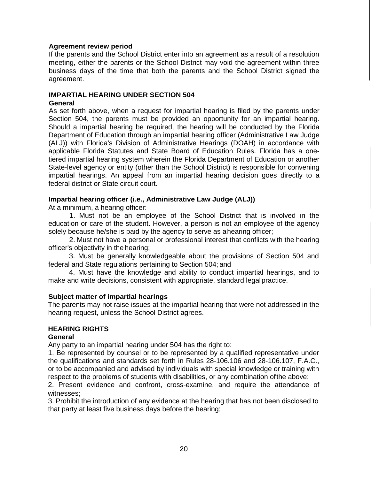#### **Agreement review period**

If the parents and the School District enter into an agreement as a result of a resolution meeting, either the parents or the School District may void the agreement within three business days of the time that both the parents and the School District signed the agreement.

### **IMPARTIAL HEARING UNDER SECTION 504**

#### **General**

As set forth above, when a request for impartial hearing is filed by the parents under Section 504, the parents must be provided an opportunity for an impartial hearing. Should a impartial hearing be required, the hearing will be conducted by the Florida Department of Education through an impartial hearing officer (Administrative Law Judge (ALJ)) with Florida's Division of Administrative Hearings (DOAH) in accordance with applicable Florida Statutes and State Board of Education Rules. Florida has a onetiered impartial hearing system wherein the Florida Department of Education or another State-level agency or entity (other than the School District) is responsible for convening impartial hearings. An appeal from an impartial hearing decision goes directly to a federal district or State circuit court.

#### **Impartial hearing officer (i.e., Administrative Law Judge (ALJ))**

At a minimum, a hearing officer:

1. Must not be an employee of the School District that is involved in the education or care of the student. However, a person is not an employee of the agency solely because he/she is paid by the agency to serve as ahearing officer;

2. Must not have a personal or professional interest that conflicts with the hearing officer's objectivity in the hearing;

3. Must be generally knowledgeable about the provisions of Section 504 and federal and State regulations pertaining to Section 504; and

4. Must have the knowledge and ability to conduct impartial hearings, and to make and write decisions, consistent with appropriate, standard legalpractice.

#### **Subject matter of impartial hearings**

The parents may not raise issues at the impartial hearing that were not addressed in the hearing request, unless the School District agrees.

## **HEARING RIGHTS**

#### **General**

Any party to an impartial hearing under 504 has the right to:

1. Be represented by counsel or to be represented by a qualified representative under the qualifications and standards set forth in Rules 28-106.106 and 28-106.107, F.A.C., or to be accompanied and advised by individuals with special knowledge or training with respect to the problems of students with disabilities, or any combination ofthe above;

2. Present evidence and confront, cross-examine, and require the attendance of witnesses;

3. Prohibit the introduction of any evidence at the hearing that has not been disclosed to that party at least five business days before the hearing;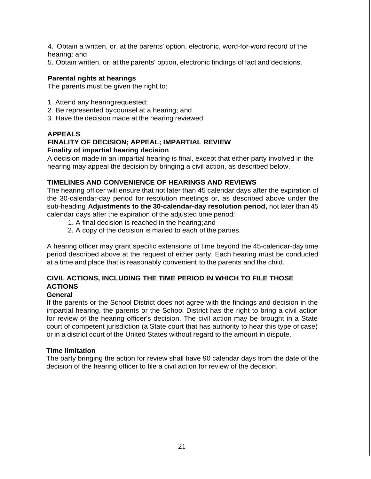4. Obtain a written, or, at the parents' option, electronic, word-for-word record of the hearing; and

5. Obtain written, or, at the parents' option, electronic findings of fact and decisions.

#### **Parental rights at hearings**

The parents must be given the right to:

- 1. Attend any hearingrequested;
- 2. Be represented bycounsel at a hearing; and
- 3. Have the decision made at the hearing reviewed.

#### **APPEALS**

#### **FINALITY OF DECISION; APPEAL; IMPARTIAL REVIEW Finality of impartial hearing decision**

A decision made in an impartial hearing is final, except that either party involved in the hearing may appeal the decision by bringing a civil action, as described below.

#### **TIMELINES AND CONVENIENCE OF HEARINGS AND REVIEWS**

The hearing officer will ensure that not later than 45 calendar days after the expiration of the 30-calendar-day period for resolution meetings or, as described above under the sub-heading **Adjustments to the 30-calendar-day resolution period,** not later than 45 calendar days after the expiration of the adjusted time period:

- 1. A final decision is reached in the hearing;and
- 2. A copy of the decision is mailed to each of the parties.

A hearing officer may grant specific extensions of time beyond the 45-calendar-day time period described above at the request of either party. Each hearing must be conducted at a time and place that is reasonably convenient to the parents and the child.

## **CIVIL ACTIONS, INCLUDING THE TIME PERIOD IN WHICH TO FILE THOSE ACTIONS**

#### **General**

If the parents or the School District does not agree with the findings and decision in the impartial hearing, the parents or the School District has the right to bring a civil action for review of the hearing officer's decision. The civil action may be brought in a State court of competent jurisdiction (a State court that has authority to hear this type of case) or in a district court of the United States without regard to the amount in dispute.

#### **Time limitation**

The party bringing the action for review shall have 90 calendar days from the date of the decision of the hearing officer to file a civil action for review of the decision.